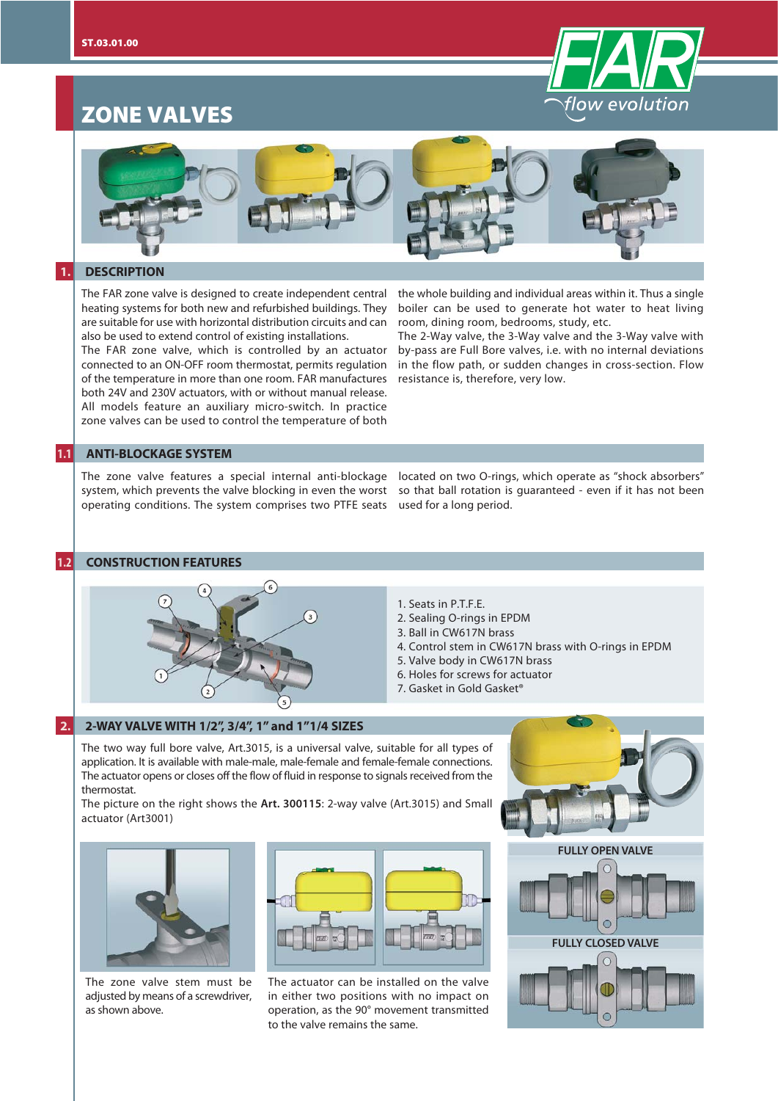

# **ZONE VALVES**



### **1. DESCRIPTION**

The FAR zone valve is designed to create independent central heating systems for both new and refurbished buildings. They are suitable for use with horizontal distribution circuits and can also be used to extend control of existing installations.

The FAR zone valve, which is controlled by an actuator connected to an ON-OFF room thermostat, permits regulation of the temperature in more than one room. FAR manufactures both 24V and 230V actuators, with or without manual release. All models feature an auxiliary micro-switch. In practice zone valves can be used to control the temperature of both

the whole building and individual areas within it. Thus a single boiler can be used to generate hot water to heat living room, dining room, bedrooms, study, etc.

The 2-Way valve, the 3-Way valve and the 3-Way valve with by-pass are Full Bore valves, i.e. with no internal deviations in the flow path, or sudden changes in cross-section. Flow resistance is, therefore, very low.

so that ball rotation is guaranteed - even if it has not been

# **1.1 ANTI-BLOCKAGE SYSTEM**

The zone valve features a special internal anti-blockage located on two O-rings, which operate as "shock absorbers" system, which prevents the valve blocking in even the worst operating conditions. The system comprises two PTFE seats used for a long period.

#### **1.2 CONSTRUCTION FEATURES**



- 
- 1. Seats in P.T.F.E.
- 2. Sealing O-rings in EPDM
- 3. Ball in CW617N brass
- 4. Control stem in CW617N brass with O-rings in EPDM
- 5. Valve body in CW617N brass
- 6. Holes for screws for actuator
- 7. Gasket in Gold Gasket®

#### **2. 2-WAY VALVE WITH 1/2", 3/4", 1" and 1"1/4 SIZES**

The two way full bore valve, Art.3015, is a universal valve, suitable for all types of application. It is available with male-male, male-female and female-female connections. The actuator opens or closes off the flow of fluid in response to signals received from the thermostat.

The picture on the right shows the **Art. 300115**: 2-way valve (Art.3015) and Small actuator (Art3001)



The zone valve stem must be adjusted by means of a screwdriver, as shown above.



The actuator can be installed on the valve in either two positions with no impact on operation, as the 90° movement transmitted to the valve remains the same.



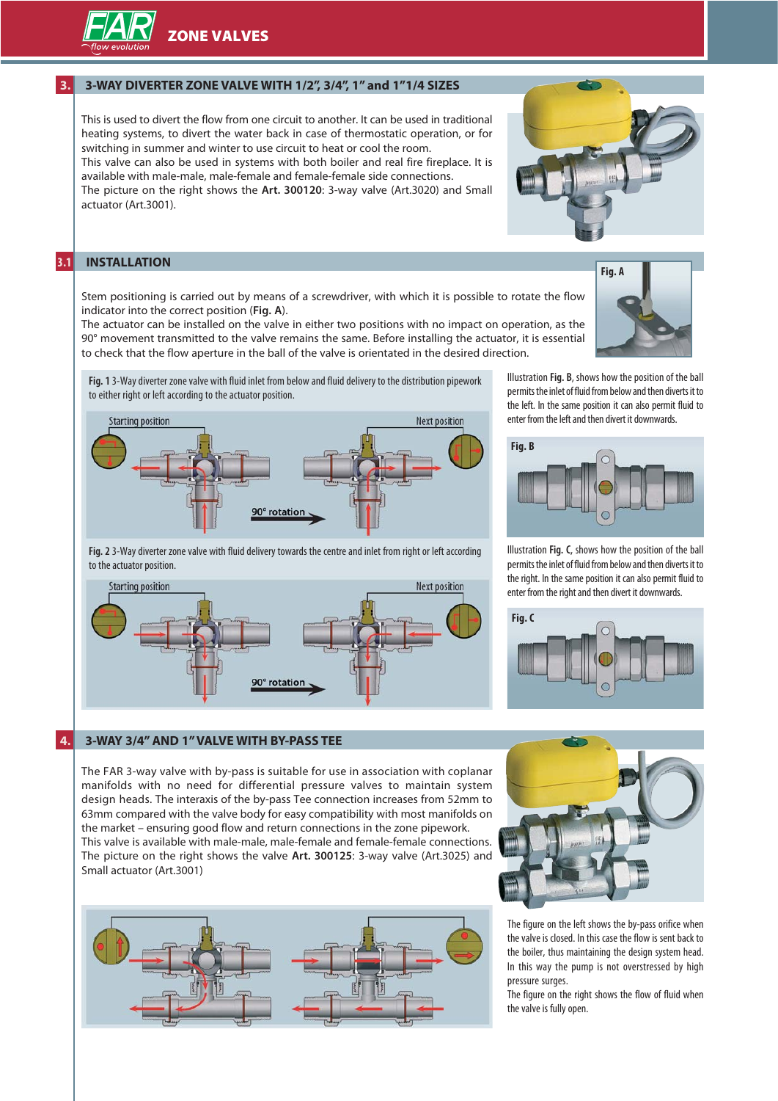**ZONE VALVES**

# **3. 3-WAY DIVERTER ZONE VALVE WITH 1/2", 3/4", 1" and 1"1/4 SIZES**

This is used to divert the flow from one circuit to another. It can be used in traditional heating systems, to divert the water back in case of thermostatic operation, or for switching in summer and winter to use circuit to heat or cool the room. This valve can also be used in systems with both boiler and real fire fireplace. It is available with male-male, male-female and female-female side connections.

The picture on the right shows the **Art. 300120**: 3-way valve (Art.3020) and Small actuator (Art.3001).

# **3.1 INSTALLATION**

to the actuator position.

**Starting position** 

Stem positioning is carried out by means of a screwdriver, with which it is possible to rotate the flow indicator into the correct position (**Fig. A**).

The actuator can be installed on the valve in either two positions with no impact on operation, as the 90° movement transmitted to the valve remains the same. Before installing the actuator, it is essential to check that the flow aperture in the ball of the valve is orientated in the desired direction.

**Next position** 

**Fig. 1** 3-Way diverter zone valve with fluid inlet from below and fluid delivery to the distribution pipework to either right or left according to the actuator position.



**Fig. 2** 3-Way diverter zone valve with fluid delivery towards the centre and inlet from right or left according

0° rotation

Illustration **Fig. B**, shows how the position of the ball permits the inlet of fluid from below and then diverts it to the left. In the same position it can also permit fluid to enter from the left and then divert it downwards.



Illustration **Fig. C**, shows how the position of the ball permits the inlet of fluid from below and then diverts it to the right. In the same position it can also permit fluid to enter from the right and then divert it downwards.



## **4. 3-WAY 3/4" AND 1" VALVE WITH BY-PASS TEE**

The FAR 3-way valve with by-pass is suitable for use in association with coplanar manifolds with no need for differential pressure valves to maintain system design heads. The interaxis of the by-pass Tee connection increases from 52mm to 63mm compared with the valve body for easy compatibility with most manifolds on the market – ensuring good flow and return connections in the zone pipework. This valve is available with male-male, male-female and female-female connections. The picture on the right shows the valve **Art. 300125**: 3-way valve (Art.3025) and Small actuator (Art.3001)





The figure on the left shows the by-pass orifice when the valve is closed. In this case the flow is sent back to the boiler, thus maintaining the design system head. In this way the pump is not overstressed by high pressure surges.

The figure on the right shows the flow of fluid when the valve is fully open.



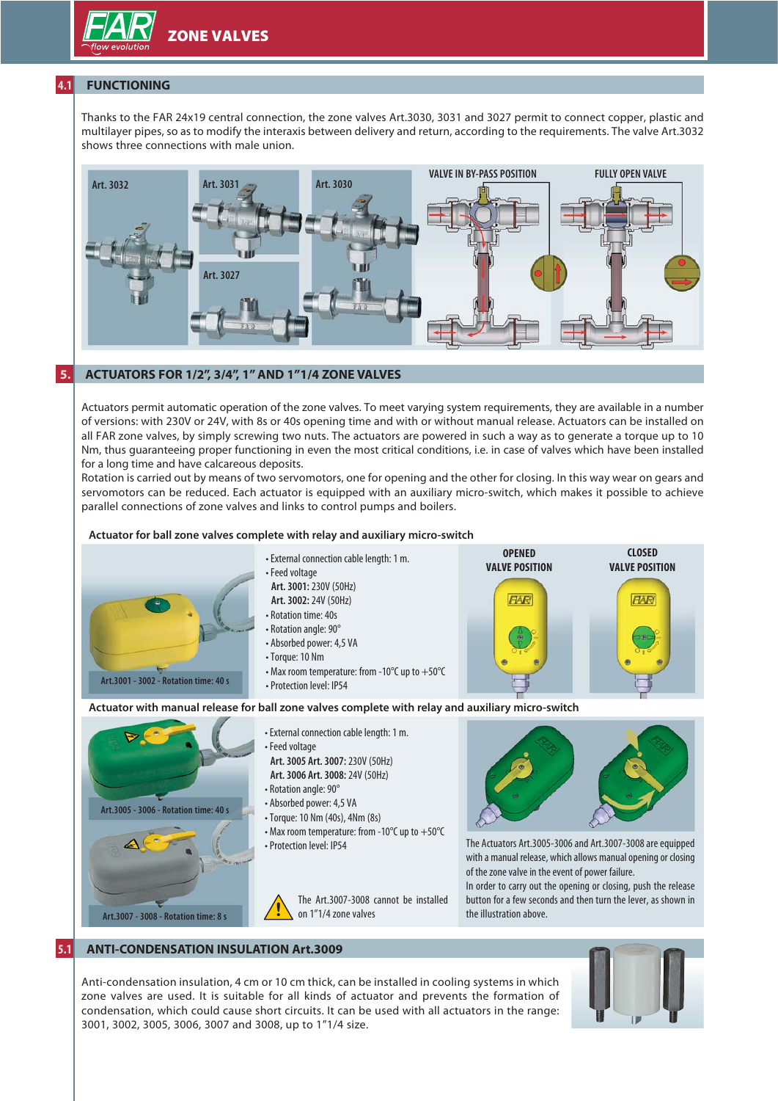# **4.1 FUNCTIONING**

Thanks to the FAR 24x19 central connection, the zone valves Art.3030, 3031 and 3027 permit to connect copper, plastic and multilayer pipes, so as to modify the interaxis between delivery and return, according to the requirements. The valve Art.3032 shows three connections with male union.



# **5. ACTUATORS FOR 1/2", 3/4", 1" AND 1"1/4 ZONE VALVES**

Actuators permit automatic operation of the zone valves. To meet varying system requirements, they are available in a number of versions: with 230V or 24V, with 8s or 40s opening time and with or without manual release. Actuators can be installed on all FAR zone valves, by simply screwing two nuts. The actuators are powered in such a way as to generate a torque up to 10 Nm, thus guaranteeing proper functioning in even the most critical conditions, i.e. in case of valves which have been installed for a long time and have calcareous deposits.

Rotation is carried out by means of two servomotors, one for opening and the other for closing. In this way wear on gears and servomotors can be reduced. Each actuator is equipped with an auxiliary micro-switch, which makes it possible to achieve parallel connections of zone valves and links to control pumps and boilers.

### **Actuator for ball zone valves complete with relay and auxiliary micro-switch**



# **5.1 ANTI-CONDENSATION INSULATION Art.3009**

Anti-condensation insulation, 4 cm or 10 cm thick, can be installed in cooling systems in which zone valves are used. It is suitable for all kinds of actuator and prevents the formation of condensation, which could cause short circuits. It can be used with all actuators in the range: 3001, 3002, 3005, 3006, 3007 and 3008, up to 1"1/4 size.

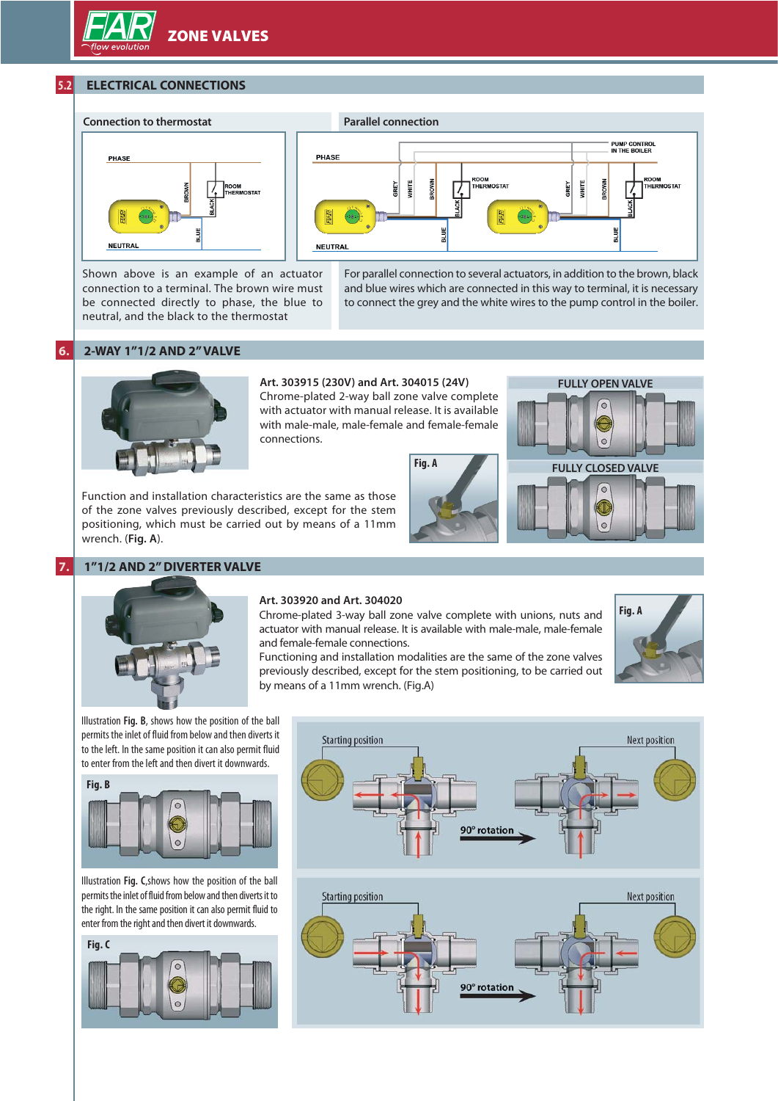# **5.2 ELECTRICAL CONNECTIONS**



Shown above is an example of an actuator connection to a terminal. The brown wire must be connected directly to phase, the blue to neutral, and the black to the thermostat



For parallel connection to several actuators, in addition to the brown, black and blue wires which are connected in this way to terminal, it is necessary to connect the grey and the white wires to the pump control in the boiler.

## **6. 2-WAY 1"1/2 AND 2" VALVE**



# **Art. 303915 (230V) and Art. 304015 (24V)**

Chrome-plated 2-way ball zone valve complete with actuator with manual release. It is available with male-male, male-female and female-female connections.

Function and installation characteristics are the same as those of the zone valves previously described, except for the stem positioning, which must be carried out by means of a 11mm wrench. (**Fig. A**).

# **7. 1"1/2 AND 2" DIVERTER VALVE**





#### **Art. 303920 and Art. 304020**

Chrome-plated 3-way ball zone valve complete with unions, nuts and actuator with manual release. It is available with male-male, male-female and female-female connections.

**Fig. A**



Functioning and installation modalities are the same of the zone valves previously described, except for the stem positioning, to be carried out by means of a 11mm wrench. (Fig.A)

Illustration **Fig. B**, shows how the position of the ball permits the inlet of fluid from below and then diverts it to the left. In the same position it can also permit fluid to enter from the left and then divert it downwards.

#### **Fig. B**



Illustration **Fig. C**,shows how the position of the ball permits the inlet of fluid from below and then diverts it to the right. In the same position it can also permit fluid to enter from the right and then divert it downwards.

**Fig. C**



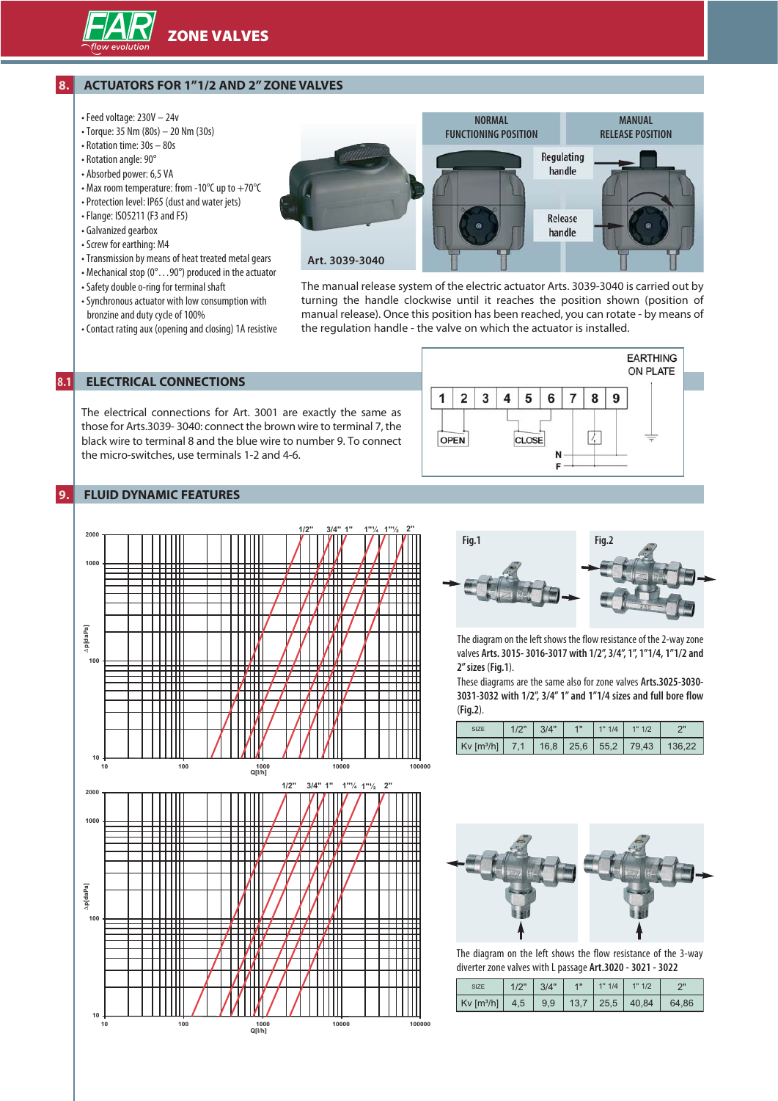

# **8. ACTUATORS FOR 1"1/2 AND 2" ZONE VALVES**

- Feed voltage: 230V 24v
- Torque: 35 Nm (80s) 20 Nm (30s)
- Rotation time: 30s 80s
- Rotation angle: 90°
- Absorbed power: 6,5 VA
- Max room temperature: from -10°C up to +70°C
- Protection level: IP65 (dust and water jets)
- Flange: ISO5211 (F3 and F5)
- Galvanized gearbox
- Screw for earthing: M4
- Transmission by means of heat treated metal gears
- Mechanical stop (0°…90°) produced in the actuator
- Safety double o-ring for terminal shaft
- Synchronous actuator with low consumption with bronzine and duty cycle of 100%
- Contact rating aux (opening and closing) 1A resistive

**NORMAL MANUAL FUNCTIONING POSITION RELEASE POSITION** Regulating handle Release handle **Art. 3039-3040**

The manual release system of the electric actuator Arts. 3039-3040 is carried out by turning the handle clockwise until it reaches the position shown (position of manual release). Once this position has been reached, you can rotate - by means of the regulation handle - the valve on which the actuator is installed.

# **8.1 ELECTRICAL CONNECTIONS**

The electrical connections for Art. 3001 are exactly the same as those for Arts.3039- 3040: connect the brown wire to terminal 7, the black wire to terminal 8 and the blue wire to number 9. To connect the micro-switches, use terminals 1-2 and 4-6.

#### **EARTHING** ON PLATE  $\mathbf{1}$  $\overline{2}$ 3 5 6  $\overline{7}$ 8 9  $\overline{\mathbf{4}}$ 7. OPEN CLOSE N F

# **9. FLUID DYNAMIC FEATURES**





The diagram on the left shows the flow resistance of the 2-way zone valves **Arts. 3015- 3016-3017 with 1/2", 3/4", 1", 1"1/4, 1"1/2 and 2" sizes** (**Fig.1**).

These diagrams are the same also for zone valves **Arts.3025-3030- 3031-3032 with 1/2", 3/4" 1" and 1"1/4 sizes and full bore flow** (**Fig.2**).

| SI <sub>7</sub> F        | 3/4" | 1" 1/4 | "1/2                                |  |
|--------------------------|------|--------|-------------------------------------|--|
| $Kv$ [m <sup>3</sup> /h] |      |        | 16.8   25.6   55.2   79.43   136.22 |  |



The diagram on the left shows the flow resistance of the 3-way diverter zone valves with L passage **Art.3020 - 3021 - 3022**

| <b>SIZE</b>                                                                              | 13/4 | 411 | 1" 1/4 | $1$ 1" 1/2 | $\cap$ |
|------------------------------------------------------------------------------------------|------|-----|--------|------------|--------|
| $\mid$ Kv [m <sup>3</sup> /h] $\mid$ 4.5 $\mid$ 9.9 $\mid$ 13.7 $\mid$ 25.5 $\mid$ 40.84 |      |     |        |            | 64.86  |